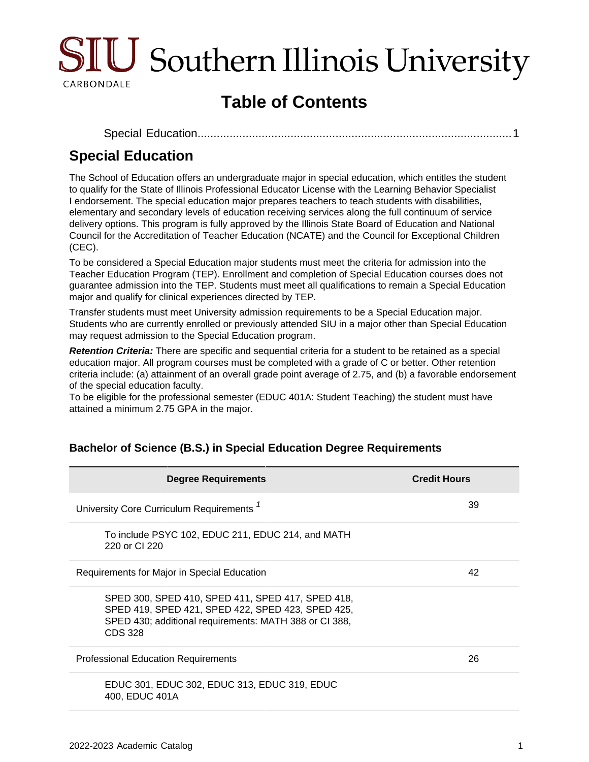

# **Table of Contents**

```
Special Education..................................................................................................1
```
## <span id="page-0-0"></span>**Special Education**

The School of Education offers an undergraduate major in special education, which entitles the student to qualify for the State of Illinois Professional Educator License with the Learning Behavior Specialist I endorsement. The special education major prepares teachers to teach students with disabilities, elementary and secondary levels of education receiving services along the full continuum of service delivery options. This program is fully approved by the Illinois State Board of Education and National Council for the Accreditation of Teacher Education (NCATE) and the Council for Exceptional Children (CEC).

To be considered a Special Education major students must meet the criteria for admission into the Teacher Education Program (TEP). Enrollment and completion of Special Education courses does not guarantee admission into the TEP. Students must meet all qualifications to remain a Special Education major and qualify for clinical experiences directed by TEP.

Transfer students must meet University admission requirements to be a Special Education major. Students who are currently enrolled or previously attended SIU in a major other than Special Education may request admission to the Special Education program.

**Retention Criteria:** There are specific and sequential criteria for a student to be retained as a special education major. All program courses must be completed with a grade of C or better. Other retention criteria include: (a) attainment of an overall grade point average of 2.75, and (b) a favorable endorsement of the special education faculty.

To be eligible for the professional semester (EDUC 401A: Student Teaching) the student must have attained a minimum 2.75 GPA in the major.

| <b>Degree Requirements</b>                                                                                                                                                         | <b>Credit Hours</b> |
|------------------------------------------------------------------------------------------------------------------------------------------------------------------------------------|---------------------|
| University Core Curriculum Requirements <sup>1</sup>                                                                                                                               | 39                  |
| To include PSYC 102, EDUC 211, EDUC 214, and MATH<br>220 or CI 220                                                                                                                 |                     |
| Requirements for Major in Special Education                                                                                                                                        | 42                  |
| SPED 300, SPED 410, SPED 411, SPED 417, SPED 418,<br>SPED 419, SPED 421, SPED 422, SPED 423, SPED 425,<br>SPED 430; additional requirements: MATH 388 or CI 388,<br><b>CDS 328</b> |                     |
| <b>Professional Education Requirements</b>                                                                                                                                         | 26                  |
| EDUC 301, EDUC 302, EDUC 313, EDUC 319, EDUC<br>400, EDUC 401A                                                                                                                     |                     |

#### **Bachelor of Science (B.S.) in Special Education Degree Requirements**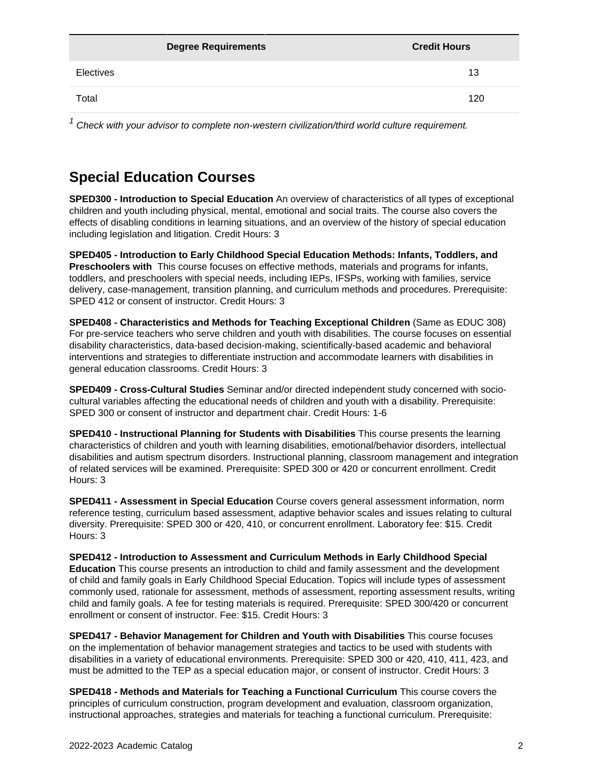|           | <b>Degree Requirements</b> | <b>Credit Hours</b> |
|-----------|----------------------------|---------------------|
| Electives |                            | 13                  |
| Total     |                            | 120                 |

 $1$  Check with your advisor to complete non-western civilization/third world culture requirement.

## **Special Education Courses**

**SPED300 - Introduction to Special Education** An overview of characteristics of all types of exceptional children and youth including physical, mental, emotional and social traits. The course also covers the effects of disabling conditions in learning situations, and an overview of the history of special education including legislation and litigation. Credit Hours: 3

**SPED405 - Introduction to Early Childhood Special Education Methods: Infants, Toddlers, and Preschoolers with** This course focuses on effective methods, materials and programs for infants, toddlers, and preschoolers with special needs, including IEPs, IFSPs, working with families, service delivery, case-management, transition planning, and curriculum methods and procedures. Prerequisite: SPED 412 or consent of instructor. Credit Hours: 3

**SPED408 - Characteristics and Methods for Teaching Exceptional Children** (Same as EDUC 308) For pre-service teachers who serve children and youth with disabilities. The course focuses on essential disability characteristics, data-based decision-making, scientifically-based academic and behavioral interventions and strategies to differentiate instruction and accommodate learners with disabilities in general education classrooms. Credit Hours: 3

**SPED409 - Cross-Cultural Studies** Seminar and/or directed independent study concerned with sociocultural variables affecting the educational needs of children and youth with a disability. Prerequisite: SPED 300 or consent of instructor and department chair. Credit Hours: 1-6

**SPED410 - Instructional Planning for Students with Disabilities** This course presents the learning characteristics of children and youth with learning disabilities, emotional/behavior disorders, intellectual disabilities and autism spectrum disorders. Instructional planning, classroom management and integration of related services will be examined. Prerequisite: SPED 300 or 420 or concurrent enrollment. Credit Hours: 3

**SPED411 - Assessment in Special Education** Course covers general assessment information, norm reference testing, curriculum based assessment, adaptive behavior scales and issues relating to cultural diversity. Prerequisite: SPED 300 or 420, 410, or concurrent enrollment. Laboratory fee: \$15. Credit Hours: 3

**SPED412 - Introduction to Assessment and Curriculum Methods in Early Childhood Special Education** This course presents an introduction to child and family assessment and the development of child and family goals in Early Childhood Special Education. Topics will include types of assessment commonly used, rationale for assessment, methods of assessment, reporting assessment results, writing child and family goals. A fee for testing materials is required. Prerequisite: SPED 300/420 or concurrent enrollment or consent of instructor. Fee: \$15. Credit Hours: 3

**SPED417 - Behavior Management for Children and Youth with Disabilities** This course focuses on the implementation of behavior management strategies and tactics to be used with students with disabilities in a variety of educational environments. Prerequisite: SPED 300 or 420, 410, 411, 423, and must be admitted to the TEP as a special education major, or consent of instructor. Credit Hours: 3

**SPED418 - Methods and Materials for Teaching a Functional Curriculum** This course covers the principles of curriculum construction, program development and evaluation, classroom organization, instructional approaches, strategies and materials for teaching a functional curriculum. Prerequisite: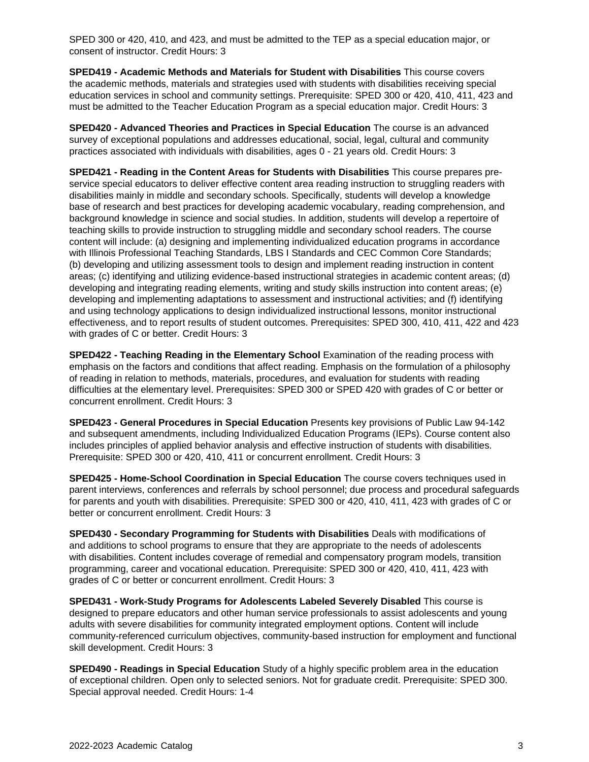SPED 300 or 420, 410, and 423, and must be admitted to the TEP as a special education major, or consent of instructor. Credit Hours: 3

**SPED419 - Academic Methods and Materials for Student with Disabilities** This course covers the academic methods, materials and strategies used with students with disabilities receiving special education services in school and community settings. Prerequisite: SPED 300 or 420, 410, 411, 423 and must be admitted to the Teacher Education Program as a special education major. Credit Hours: 3

**SPED420 - Advanced Theories and Practices in Special Education** The course is an advanced survey of exceptional populations and addresses educational, social, legal, cultural and community practices associated with individuals with disabilities, ages 0 - 21 years old. Credit Hours: 3

**SPED421 - Reading in the Content Areas for Students with Disabilities** This course prepares preservice special educators to deliver effective content area reading instruction to struggling readers with disabilities mainly in middle and secondary schools. Specifically, students will develop a knowledge base of research and best practices for developing academic vocabulary, reading comprehension, and background knowledge in science and social studies. In addition, students will develop a repertoire of teaching skills to provide instruction to struggling middle and secondary school readers. The course content will include: (a) designing and implementing individualized education programs in accordance with Illinois Professional Teaching Standards, LBS I Standards and CEC Common Core Standards; (b) developing and utilizing assessment tools to design and implement reading instruction in content areas; (c) identifying and utilizing evidence-based instructional strategies in academic content areas; (d) developing and integrating reading elements, writing and study skills instruction into content areas; (e) developing and implementing adaptations to assessment and instructional activities; and (f) identifying and using technology applications to design individualized instructional lessons, monitor instructional effectiveness, and to report results of student outcomes. Prerequisites: SPED 300, 410, 411, 422 and 423 with grades of C or better. Credit Hours: 3

**SPED422 - Teaching Reading in the Elementary School** Examination of the reading process with emphasis on the factors and conditions that affect reading. Emphasis on the formulation of a philosophy of reading in relation to methods, materials, procedures, and evaluation for students with reading difficulties at the elementary level. Prerequisites: SPED 300 or SPED 420 with grades of C or better or concurrent enrollment. Credit Hours: 3

**SPED423 - General Procedures in Special Education** Presents key provisions of Public Law 94-142 and subsequent amendments, including Individualized Education Programs (IEPs). Course content also includes principles of applied behavior analysis and effective instruction of students with disabilities. Prerequisite: SPED 300 or 420, 410, 411 or concurrent enrollment. Credit Hours: 3

**SPED425 - Home-School Coordination in Special Education** The course covers techniques used in parent interviews, conferences and referrals by school personnel; due process and procedural safeguards for parents and youth with disabilities. Prerequisite: SPED 300 or 420, 410, 411, 423 with grades of C or better or concurrent enrollment. Credit Hours: 3

**SPED430 - Secondary Programming for Students with Disabilities** Deals with modifications of and additions to school programs to ensure that they are appropriate to the needs of adolescents with disabilities. Content includes coverage of remedial and compensatory program models, transition programming, career and vocational education. Prerequisite: SPED 300 or 420, 410, 411, 423 with grades of C or better or concurrent enrollment. Credit Hours: 3

**SPED431 - Work-Study Programs for Adolescents Labeled Severely Disabled** This course is designed to prepare educators and other human service professionals to assist adolescents and young adults with severe disabilities for community integrated employment options. Content will include community-referenced curriculum objectives, community-based instruction for employment and functional skill development. Credit Hours: 3

**SPED490 - Readings in Special Education** Study of a highly specific problem area in the education of exceptional children. Open only to selected seniors. Not for graduate credit. Prerequisite: SPED 300. Special approval needed. Credit Hours: 1-4